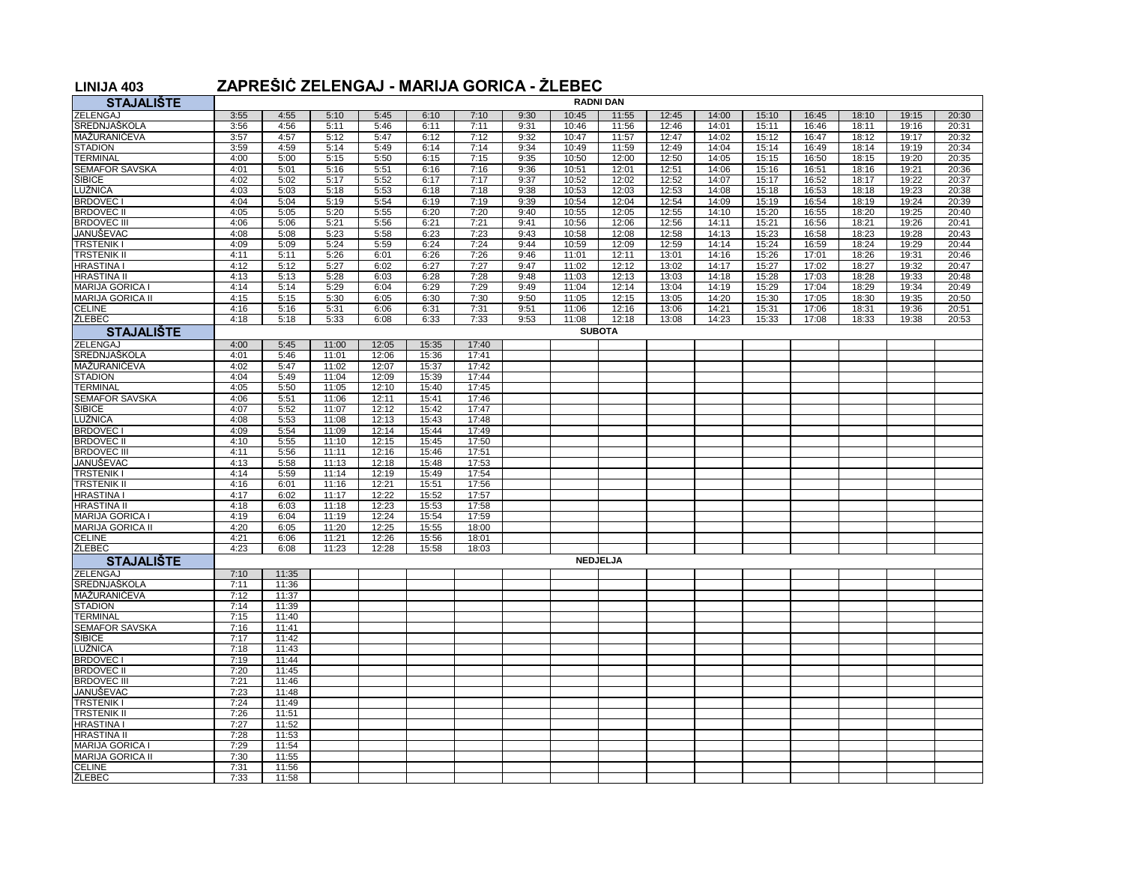## **LINIJA 403 ZAPREŠIĆ ZELENGAJ - MARIJA GORICA - ŽLEBEC**

| <b>STAJALIŠTE</b>                       | <b>RADNI DAN</b> |                |                |                |                |                |              |                |                 |                |                |                |                |                |                |                |
|-----------------------------------------|------------------|----------------|----------------|----------------|----------------|----------------|--------------|----------------|-----------------|----------------|----------------|----------------|----------------|----------------|----------------|----------------|
| ZELENGAJ                                | 3:55             | 4:55           | 5:10           | 5:45           | 6:10           | 7:10           | 9:30         | 10:45          | 11:55           | 12:45          | 14:00          | 15:10          | 16:45          | 18:10          | 19:15          | 20:30          |
| SREDNJAŠKOLA                            | 3:56             | 4:56           | 5:11           | 5:46           | 6:11           | 7:11           | 9:31         | 10:46          | 11:56           | 12:46          | 14:01          | 15:11          | 16:46          | 18:11          | 19:16          | 20:31          |
| <b>MAŽURANIĆEVA</b>                     | 3:57             | 4:57           | 5:12           | 5:47           | 6:12           | 7:12           | 9:32         | 10:47          | 11:57           | 12:47          | 14:02          | 15:12          | 16:47          | 18:12          | 19:17          | 20:32          |
| <b>STADION</b>                          | 3:59             | 4:59           | 5:14           | 5:49           | 6:14           | 7:14           | 9:34         | 10:49          | 11:59           | 12:49          | 14:04          | 15:14          | 16:49          | 18:14          | 19:19          | 20:34          |
| <b>TERMINAL</b>                         | 4:00             | 5:00           | 5:15           | 5:50           | 6:15           | 7:15           | 9:35         | 10:50          | 12:00           | 12:50          | 14:05          | 15:15          | 16:50          | 18:15          | 19:20          | 20:35          |
| <b>SEMAFOR SAVSKA</b>                   | 4:01             | 5:01           | 5:16           | 5:51           | 6:16           | 7:16           | 9:36         | 10:51          | 12:01           | 12:51          | 14:06          | 15:16          | 16:51          | 18:16          | 19:21          | 20:36          |
| ŠIBICE                                  | 4:02             | 5:02           | 5:17           | 5:52           | 6:17           | 7:17           | 9:37         | 10:52          | 12:02           | 12:52          | 14:07          | 15:17          | 16:52          | 18:17          | 19:22          | 20:37          |
| LUŽNICA                                 | 4:03             | 5:03           | 5:18           | 5:53           | 6:18           | 7:18           | 9:38         | 10:53          | 12:03           | 12:53          | 14:08          | 15:18          | 16:53          | 18:18          | 19:23          | 20:38          |
| <b>BRDOVEC1</b>                         | 4:04             | 5:04           | 5:19           | 5:54           | 6:19           | 7:19           | 9:39         | 10:54          | 12:04           | 12:54          | 14:09          | 15:19          | 16:54          | 18:19          | 19:24          | 20:39          |
| <b>BRDOVEC II</b><br><b>BRDOVEC III</b> | 4:05<br>4:06     | 5:05<br>5:06   | 5:20<br>5:21   | 5:55<br>5:56   | 6:20<br>6:21   | 7:20<br>7:21   | 9:40<br>9:41 | 10:55<br>10:56 | 12:05<br>12:06  | 12:55<br>12:56 | 14:10<br>14:11 | 15:20<br>15:21 | 16:55<br>16:56 | 18:20<br>18:21 | 19:25<br>19:26 | 20:40<br>20:41 |
| JANUŠEVAC                               | 4:08             | 5:08           | 5:23           | 5:58           | 6:23           | 7:23           | 9:43         | 10:58          | 12:08           | 12:58          | 14:13          | 15:23          | 16:58          | 18:23          | 19:28          | 20:43          |
| <b>TRSTENIK I</b>                       | 4:09             | 5:09           | 5:24           | 5:59           | 6:24           | 7:24           | 9:44         | 10:59          | 12:09           | 12:59          | 14:14          | 15:24          | 16:59          | 18:24          | 19:29          | 20:44          |
| <b>TRSTENIK II</b>                      | 4:11             | 5:11           | 5:26           | 6:01           | 6:26           | 7:26           | 9:46         | 11:01          | 12:11           | 13:01          | 14:16          | 15:26          | 17:01          | 18:26          | 19:31          | 20:46          |
| <b>HRASTINA I</b>                       | 4:12             | 5:12           | 5:27           | 6:02           | 6:27           | 7:27           | 9:47         | 11:02          | 12:12           | 13:02          | 14:17          | 15:27          | 17:02          | 18:27          | 19:32          | 20:47          |
| <b>HRASTINA II</b>                      | 4:13             | 5:13           | 5:28           | 6:03           | 6:28           | 7:28           | 9:48         | 11:03          | 12:13           | 13:03          | 14:18          | 15:28          | 17:03          | 18:28          | 19:33          | 20:48          |
| MARIJA GORICA I                         | 4:14             | 5:14           | 5:29           | 6:04           | 6:29           | 7:29           | 9:49         | 11:04          | 12:14           | 13:04          | 14:19          | 15:29          | 17:04          | 18:29          | 19:34          | 20:49          |
| <b>MARIJA GORICA II</b>                 | 4:15             | 5:15           | 5:30           | 6:05           | 6:30           | 7:30           | 9:50         | 11:05          | 12:15           | 13:05          | 14:20          | 15:30          | 17:05          | 18:30          | 19:35          | 20:50          |
| <b>CELINE</b>                           | 4:16             | 5:16           | 5:31           | 6:06           | 6:31           | 7:31           | 9:51         | 11:06          | 12:16           | 13:06          | 14:21          | 15:31          | 17:06          | 18:31          | 19:36          | 20:51          |
| <b>ŽLEBEC</b>                           | 4:18             | 5:18           | 5:33           | 6:08           | 6:33           | 7:33           | 9:53         | 11:08          | 12:18           | 13:08          | 14:23          | 15:33          | 17:08          | 18:33          | 19:38          | 20:53          |
| <b>STAJALIŠTE</b>                       | <b>SUBOTA</b>    |                |                |                |                |                |              |                |                 |                |                |                |                |                |                |                |
| ZELENGAJ                                | 4:00             | 5:45           | 11:00          | 12:05          | 15:35          | 17:40          |              |                |                 |                |                |                |                |                |                |                |
| SREDNJAŠKOLA                            | 4:01             | 5:46           | 11:01          | 12:06          | 15:36          | 17:41          |              |                |                 |                |                |                |                |                |                |                |
| MAŽURANIĆEVA                            | 4:02             | 5:47           | 11:02          | 12:07          | 15:37          | 17:42          |              |                |                 |                |                |                |                |                |                |                |
| <b>STADION</b>                          | 4:04             | 5:49           | 11:04          | 12:09          | 15:39          | 17:44          |              |                |                 |                |                |                |                |                |                |                |
| <b>TERMINAL</b>                         | 4:05             | 5:50           | 11:05          | 12:10          | 15:40          | 17:45          |              |                |                 |                |                |                |                |                |                |                |
| <b>SEMAFOR SAVSKA</b><br>ŠIBICE         | 4:06<br>4:07     | 5:51<br>5:52   | 11:06<br>11:07 | 12:11<br>12:12 | 15:41<br>15:42 | 17:46<br>17:47 |              |                |                 |                |                |                |                |                |                |                |
| LUŽNICA                                 | 4:08             | 5:53           | 11:08          | 12:13          | 15:43          | 17:48          |              |                |                 |                |                |                |                |                |                |                |
| <b>BRDOVEC</b>                          | 4:09             | 5:54           | 11:09          | 12:14          | 15:44          | 17:49          |              |                |                 |                |                |                |                |                |                |                |
| <b>BRDOVEC II</b>                       | 4:10             | 5:55           | 11:10          | 12:15          | 15:45          | 17:50          |              |                |                 |                |                |                |                |                |                |                |
| <b>BRDOVEC III</b>                      | 4:11             | 5:56           | 11:11          | 12:16          | 15:46          | 17:51          |              |                |                 |                |                |                |                |                |                |                |
| JANUŠEVAC                               | 4:13             | 5:58           | 11:13          | 12:18          | 15:48          | 17:53          |              |                |                 |                |                |                |                |                |                |                |
| <b>TRSTENIK I</b>                       | 4:14             | 5:59           | 11:14          | 12:19          | 15:49          | 17:54          |              |                |                 |                |                |                |                |                |                |                |
| <b>TRSTENIK II</b>                      | 4:16             | 6:01           | 11:16          | 12:21          | 15:51          | 17:56          |              |                |                 |                |                |                |                |                |                |                |
| <b>HRASTINA I</b>                       | 4:17             | 6:02           | 11:17          | 12:22          | 15:52          | 17:57          |              |                |                 |                |                |                |                |                |                |                |
| <b>HRASTINA II</b>                      | 4:18             | 6:03           | 11:18          | 12:23          | 15:53          | 17:58          |              |                |                 |                |                |                |                |                |                |                |
| MARIJA GORICA I                         | 4:19             | 6:04           | 11:19          | 12:24          | 15:54          | 17:59          |              |                |                 |                |                |                |                |                |                |                |
| <b>MARIJA GORICA II</b>                 | 4:20             | 6:05           | 11:20          | 12:25          | 15:55          | 18:00          |              |                |                 |                |                |                |                |                |                |                |
| <b>CELINE</b><br>ŽLEBEC                 | 4:21<br>4:23     | 6:06<br>6:08   | 11:21<br>11:23 | 12:26<br>12:28 | 15:56<br>15:58 | 18:01<br>18:03 |              |                |                 |                |                |                |                |                |                |                |
| <b>STAJALIŠTE</b>                       |                  |                |                |                |                |                |              |                | <b>NEDJELJA</b> |                |                |                |                |                |                |                |
|                                         |                  |                |                |                |                |                |              |                |                 |                |                |                |                |                |                |                |
| ZELENGAJ<br>SREDNJAŠKOLA                | 7:10<br>7:11     | 11:35<br>11:36 |                |                |                |                |              |                |                 |                |                |                |                |                |                |                |
| MAŽURANIĆEVA                            | 7:12             | 11:37          |                |                |                |                |              |                |                 |                |                |                |                |                |                |                |
| <b>STADION</b>                          | 7:14             | 11:39          |                |                |                |                |              |                |                 |                |                |                |                |                |                |                |
| <b>TERMINAL</b>                         | 7:15             | 11:40          |                |                |                |                |              |                |                 |                |                |                |                |                |                |                |
| SEMAFOR SAVSKA                          | 7:16             | 11:41          |                |                |                |                |              |                |                 |                |                |                |                |                |                |                |
| <b>SIBICE</b>                           | 7:17             | 11:42          |                |                |                |                |              |                |                 |                |                |                |                |                |                |                |
| LUŽNICA                                 | 7:18             | 11:43          |                |                |                |                |              |                |                 |                |                |                |                |                |                |                |
| <b>BRDOVEC</b>                          | 7:19             | 11:44          |                |                |                |                |              |                |                 |                |                |                |                |                |                |                |
| <b>BRDOVEC II</b>                       | 7:20             | 11:45          |                |                |                |                |              |                |                 |                |                |                |                |                |                |                |
| <b>BRDOVEC III</b>                      | 7:21             | 11:46          |                |                |                |                |              |                |                 |                |                |                |                |                |                |                |
| JANUŠEVAC                               | 7:23             | 11:48          |                |                |                |                |              |                |                 |                |                |                |                |                |                |                |
| <b>TRSTENIK I</b><br><b>TRSTENIK II</b> | 7:24<br>7:26     | 11:49<br>11:51 |                |                |                |                |              |                |                 |                |                |                |                |                |                |                |
| <b>HRASTINA I</b>                       | 7:27             | 11:52          |                |                |                |                |              |                |                 |                |                |                |                |                |                |                |
| <b>HRASTINA II</b>                      | 7:28             | 11:53          |                |                |                |                |              |                |                 |                |                |                |                |                |                |                |
| <b>MARIJA GORICA I</b>                  | 7:29             | 11:54          |                |                |                |                |              |                |                 |                |                |                |                |                |                |                |
| <b>MARIJA GORICA II</b>                 | 7:30             | 11:55          |                |                |                |                |              |                |                 |                |                |                |                |                |                |                |
| <b>CELINE</b>                           | 7:31             | 11:56          |                |                |                |                |              |                |                 |                |                |                |                |                |                |                |
| ŽLEBEC                                  | 7:33             | 11:58          |                |                |                |                |              |                |                 |                |                |                |                |                |                |                |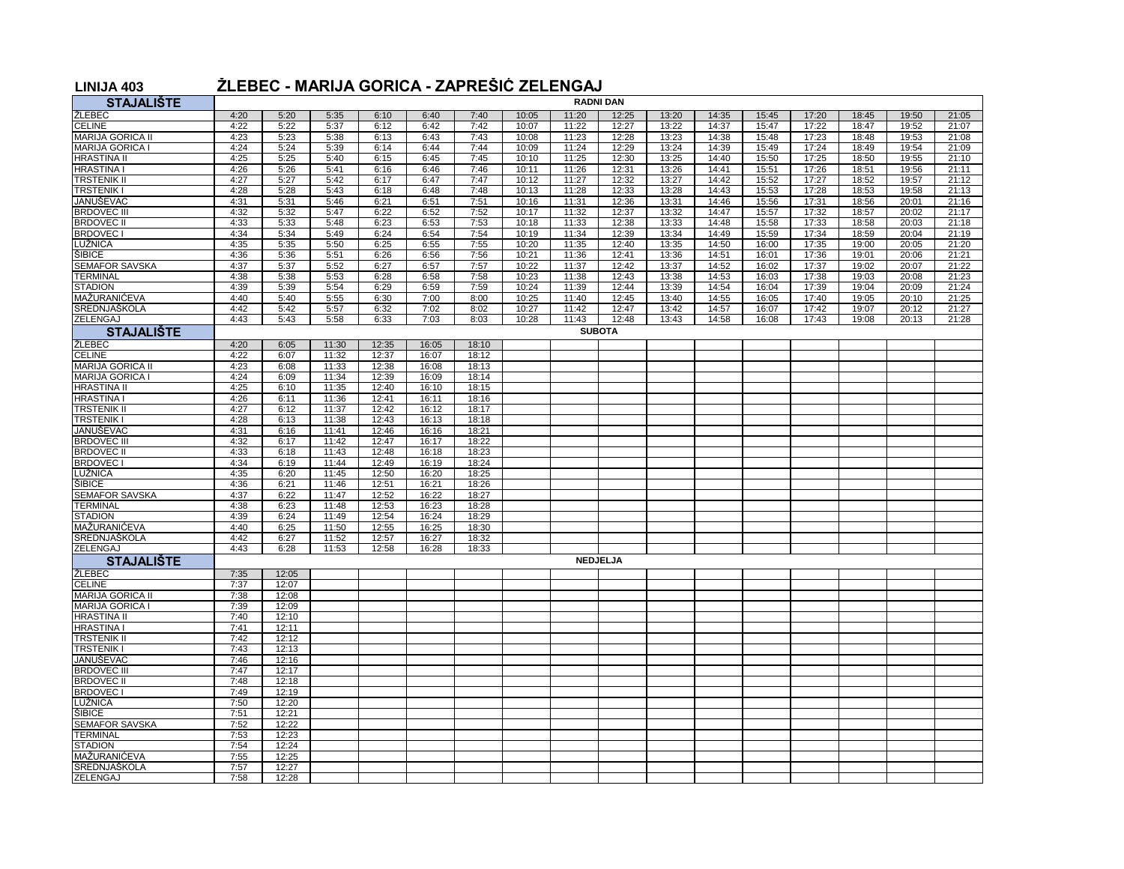## **LINIJA 403 ŽLEBEC - MARIJA GORICA - ZAPREŠIĆ ZELENGAJ**

| <b>STAJALIŠTE</b>                       | <b>RADNI DAN</b> |                |                |                |                |                |                |                |                 |                |                |                |                |                |                |                |
|-----------------------------------------|------------------|----------------|----------------|----------------|----------------|----------------|----------------|----------------|-----------------|----------------|----------------|----------------|----------------|----------------|----------------|----------------|
| ŽLEBEC                                  | 4:20             | 5:20           | 5:35           | 6:10           | 6:40           | 7:40           | 10:05          | 11:20          | 12:25           | 13:20          | 14:35          | 15:45          | 17:20          | 18:45          | 19:50          | 21:05          |
| <b>CELINE</b>                           | 4:22             | 5:22           | 5:37           | 6:12           | 6:42           | 7:42           | 10:07          | 11:22          | 12:27           | 13:22          | 14:37          | 15:47          | 17:22          | 18:47          | 19:52          | 21:07          |
| <b>MARIJA GORICA II</b>                 | 4:23             | 5:23           | 5:38           | 6:13           | 6:43           | 7:43           | 10:08          | 11:23          | 12:28           | 13:23          | 14:38          | 15:48          | 17:23          | 18:48          | 19:53          | 21:08          |
| <b>MARIJA GORICA I</b>                  | 4:24             | 5:24           | 5:39           | 6:14           | 6:44           | 7:44           | 10:09          | 11:24          | 12:29           | 13:24          | 14:39          | 15:49          | 17:24          | 18:49          | 19:54          | 21:09          |
| <b>HRASTINA II</b>                      | 4:25             | 5:25           | 5:40           | 6:15           | 6:45           | 7:45           | 10:10          | 11:25          | 12:30           | 13:25          | 14:40          | 15:50          | 17:25          | 18:50          | 19:55          | 21:10          |
| <b>HRASTINA I</b>                       | 4:26             | 5:26           | 5:41           | 6:16           | 6:46           | 7:46           | 10:11          | 11:26          | 12:31           | 13:26          | 14:41          | 15:51          | 17:26          | 18:51          | 19:56          | 21:11          |
| <b>TRSTENIK II</b>                      | 4:27             | 5:27           | 5:42           | 6:17           | 6:47           | 7:47           | 10:12          | 11:27          | 12:32           | 13:27          | 14:42          | 15:52          | 17:27          | 18:52          | 19:57          | 21:12          |
| <b>TRSTENIKI</b>                        | 4:28             | 5:28           | 5:43           | 6:18           | 6:48           | 7:48           | 10:13          | 11:28          | 12:33           | 13:28          | 14:43          | 15:53          | 17:28          | 18:53          | 19:58          | 21:13          |
| JANUŠEVAC                               | 4:31             | 5:31           | 5:46           | 6:21           | 6:51           | 7:51           | 10:16          | 11:31          | 12:36           | 13:31          | 14:46          | 15:56          | 17:31          | 18:56          | 20:01          | 21:16          |
| <b>BRDOVEC III</b><br><b>BRDOVEC II</b> | 4:32             | 5:32           | 5:47           | 6:22           | 6:52           | 7:52           | 10:17          | 11:32          | 12:37           | 13:32          | 14:47<br>14:48 | 15:57          | 17:32          | 18:57          | 20:02          | 21:17<br>21:18 |
| <b>BRDOVEC1</b>                         | 4:33<br>4:34     | 5:33<br>5:34   | 5:48<br>5:49   | 6:23<br>6:24   | 6:53<br>6:54   | 7:53<br>7:54   | 10:18<br>10:19 | 11:33<br>11:34 | 12:38<br>12:39  | 13:33<br>13:34 | 14:49          | 15:58<br>15:59 | 17:33<br>17:34 | 18:58<br>18:59 | 20:03<br>20:04 | 21:19          |
| LUŽNICA                                 | 4:35             | 5:35           | 5:50           | 6:25           | 6:55           | 7:55           | 10:20          | 11:35          | 12:40           | 13:35          | 14:50          | 16:00          | 17:35          | 19:00          | 20:05          | 21:20          |
| <b>SIBICE</b>                           | 4:36             | 5:36           | 5:51           | 6:26           | 6:56           | 7:56           | 10:21          | 11:36          | 12:41           | 13:36          | 14:51          | 16:01          | 17:36          | 19:01          | 20:06          | 21:21          |
| <b>SEMAFOR SAVSKA</b>                   | 4:37             | 5:37           | 5:52           | 6:27           | 6:57           | 7:57           | 10:22          | 11:37          | 12:42           | 13:37          | 14:52          | 16:02          | 17:37          | 19:02          | 20:07          | 21:22          |
| <b>TERMINAL</b>                         | 4:38             | 5:38           | 5:53           | 6:28           | 6:58           | 7:58           | 10:23          | 11:38          | 12:43           | 13:38          | 14:53          | 16:03          | 17:38          | 19:03          | 20:08          | 21:23          |
| <b>STADION</b>                          | 4:39             | 5:39           | 5:54           | 6:29           | 6:59           | 7:59           | 10:24          | 11:39          | 12:44           | 13:39          | 14:54          | 16:04          | 17:39          | 19:04          | 20:09          | 21:24          |
| MAŽURANIĆEVA                            | 4:40             | 5:40           | 5:55           | 6:30           | 7:00           | 8:00           | 10:25          | 11:40          | 12:45           | 13:40          | 14:55          | 16:05          | 17:40          | 19:05          | 20:10          | 21:25          |
| SREDNJAŠKOLA                            | 4:42             | 5:42           | 5:57           | 6:32           | 7:02           | 8:02           | 10:27          | 11:42          | 12:47           | 13:42          | 14:57          | 16:07          | 17:42          | 19:07          | 20:12          | 21:27          |
| <b>ZELENGAJ</b>                         | 4:43             | 5:43           | 5:58           | 6:33           | 7:03           | 8:03           | 10:28          | 11:43          | 12:48           | 13:43          | 14:58          | 16:08          | 17:43          | 19:08          | 20:13          | 21:28          |
| <b>STAJALIŠTE</b>                       | <b>SUBOTA</b>    |                |                |                |                |                |                |                |                 |                |                |                |                |                |                |                |
| <b>ŽLEBEC</b>                           | 4:20             | 6:05           | 11:30          | 12:35          | 16:05          | 18:10          |                |                |                 |                |                |                |                |                |                |                |
| <b>CELINE</b>                           | 4:22             | 6:07           | 11:32          | 12:37          | 16:07          | 18:12          |                |                |                 |                |                |                |                |                |                |                |
| <b>MARIJA GORICA II</b>                 | 4:23             | 6:08           | 11:33          | 12:38          | 16:08          | 18:13          |                |                |                 |                |                |                |                |                |                |                |
| <b>JARIJA GORICA I</b>                  | 4:24             | 6:09           | 11:34          | 12:39          | 16:09          | 18:14          |                |                |                 |                |                |                |                |                |                |                |
| <b>HRASTINA II</b><br><b>HRASTINA I</b> | 4:25             | 6:10           | 11:35<br>11:36 | 12:40<br>12:41 | 16:10<br>16:11 | 18:15          |                |                |                 |                |                |                |                |                |                |                |
| <b>TRSTENIK II</b>                      | 4:26<br>4:27     | 6:11<br>6:12   | 11:37          | 12:42          | 16:12          | 18:16<br>18:17 |                |                |                 |                |                |                |                |                |                |                |
| <b>TRSTENIK I</b>                       | 4:28             | 6:13           | 11:38          | 12:43          | 16:13          | 18:18          |                |                |                 |                |                |                |                |                |                |                |
| JANUŠEVAC                               | 4:31             | 6:16           | 11:41          | 12:46          | 16:16          | 18:21          |                |                |                 |                |                |                |                |                |                |                |
| <b>BRDOVEC III</b>                      | 4:32             | 6:17           | 11:42          | 12:47          | 16:17          | 18:22          |                |                |                 |                |                |                |                |                |                |                |
| <b>BRDOVEC II</b>                       | 4:33             | 6:18           | 11:43          | 12:48          | 16:18          | 18:23          |                |                |                 |                |                |                |                |                |                |                |
| <b>BRDOVEC1</b>                         | 4:34             | 6:19           | 11:44          | 12:49          | 16:19          | 18:24          |                |                |                 |                |                |                |                |                |                |                |
| LUŽNICA                                 | 4:35             | 6:20           | 11:45          | 12:50          | 16:20          | 18:25          |                |                |                 |                |                |                |                |                |                |                |
| SIBICE                                  | 4:36             | 6:21           | 11:46          | 12:51          | 16:21          | 18:26          |                |                |                 |                |                |                |                |                |                |                |
| <b>SEMAFOR SAVSKA</b>                   | 4:37             | 6:22           | 11:47          | 12:52          | 16:22          | 18:27          |                |                |                 |                |                |                |                |                |                |                |
| <b>TERMINAL</b>                         | 4:38             | 6:23           | 11:48          | 12:53          | 16:23          | 18:28          |                |                |                 |                |                |                |                |                |                |                |
| <b>STADION</b>                          | 4:39             | 6:24           | 11:49          | 12:54          | 16:24          | 18:29          |                |                |                 |                |                |                |                |                |                |                |
| MAŽURANIĆEVA                            | 4:40             | 6:25           | 11:50          | 12:55          | 16:25          | 18:30          |                |                |                 |                |                |                |                |                |                |                |
| SREDNJAŠKOLA                            | 4:42<br>4:43     | 6:27           | 11:52          | 12:57          | 16:27          | 18:32          |                |                |                 |                |                |                |                |                |                |                |
| ZELENGAJ<br><b>STAJALIŠTE</b>           |                  | 6:28           | 11:53          | 12:58          | 16:28          | 18:33          |                |                | <b>NEDJELJA</b> |                |                |                |                |                |                |                |
| ŽLEBEC                                  |                  |                |                |                |                |                |                |                |                 |                |                |                |                |                |                |                |
| <b>CELINE</b>                           | 7:35<br>7:37     | 12:05<br>12:07 |                |                |                |                |                |                |                 |                |                |                |                |                |                |                |
| <b>MARIJA GORICA II</b>                 | 7:38             | 12:08          |                |                |                |                |                |                |                 |                |                |                |                |                |                |                |
| <b>MARIJA GORICA I</b>                  | 7:39             | 12:09          |                |                |                |                |                |                |                 |                |                |                |                |                |                |                |
| <b>HRASTINA II</b>                      | 7:40             | 12:10          |                |                |                |                |                |                |                 |                |                |                |                |                |                |                |
| <b>HRASTINA I</b>                       | 7:41             | 12:11          |                |                |                |                |                |                |                 |                |                |                |                |                |                |                |
| <b>TRSTENIK II</b>                      | 7:42             | 12:12          |                |                |                |                |                |                |                 |                |                |                |                |                |                |                |
| <b>TRSTENIK I</b>                       | 7:43             | 12:13          |                |                |                |                |                |                |                 |                |                |                |                |                |                |                |
| JANUŠEVAC                               | 7:46             | 12:16          |                |                |                |                |                |                |                 |                |                |                |                |                |                |                |
| <b>BRDOVEC III</b>                      | 7:47             | 12:17          |                |                |                |                |                |                |                 |                |                |                |                |                |                |                |
| <b>BRDOVEC II</b>                       | 7:48             | 12:18          |                |                |                |                |                |                |                 |                |                |                |                |                |                |                |
| <b>BRDOVEC I</b>                        | 7:49             | 12:19          |                |                |                |                |                |                |                 |                |                |                |                |                |                |                |
| LUŽNICA                                 | 7:50             | 12:20          |                |                |                |                |                |                |                 |                |                |                |                |                |                |                |
| <b>SIBICE</b><br><b>SEMAFOR SAVSKA</b>  | 7:51<br>7:52     | 12:21<br>12:22 |                |                |                |                |                |                |                 |                |                |                |                |                |                |                |
| <b>TERMINAL</b>                         | 7:53             | 12:23          |                |                |                |                |                |                |                 |                |                |                |                |                |                |                |
| <b>STADION</b>                          | 7:54             | 12:24          |                |                |                |                |                |                |                 |                |                |                |                |                |                |                |
| MAŽURANIĆEVA                            | 7:55             | 12:25          |                |                |                |                |                |                |                 |                |                |                |                |                |                |                |
| <b>SREDNJAŠKOLA</b>                     | 7:57             | 12:27          |                |                |                |                |                |                |                 |                |                |                |                |                |                |                |
| ZELENGAJ                                | 7:58             | 12:28          |                |                |                |                |                |                |                 |                |                |                |                |                |                |                |